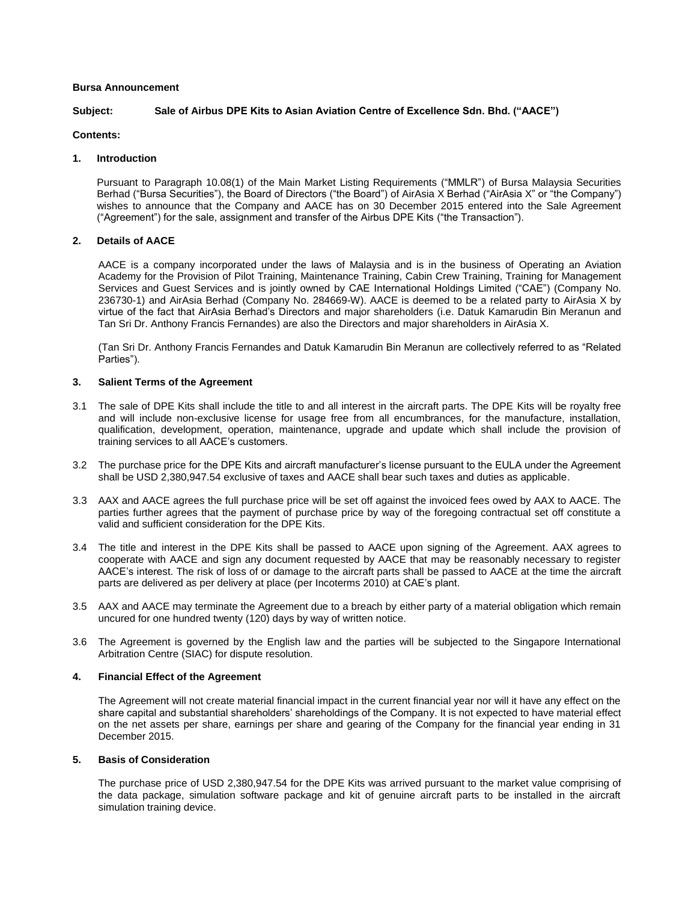## **Bursa Announcement**

# **Subject: Sale of Airbus DPE Kits to Asian Aviation Centre of Excellence Sdn. Bhd. ("AACE")**

## **Contents:**

## **1. Introduction**

Pursuant to Paragraph 10.08(1) of the Main Market Listing Requirements ("MMLR") of Bursa Malaysia Securities Berhad ("Bursa Securities"), the Board of Directors ("the Board") of AirAsia X Berhad ("AirAsia X" or "the Company") wishes to announce that the Company and AACE has on 30 December 2015 entered into the Sale Agreement ("Agreement") for the sale, assignment and transfer of the Airbus DPE Kits ("the Transaction").

## **2. Details of AACE**

AACE is a company incorporated under the laws of Malaysia and is in the business of Operating an Aviation Academy for the Provision of Pilot Training, Maintenance Training, Cabin Crew Training, Training for Management Services and Guest Services and is jointly owned by CAE International Holdings Limited ("CAE") (Company No. 236730-1) and AirAsia Berhad (Company No. 284669-W). AACE is deemed to be a related party to AirAsia X by virtue of the fact that AirAsia Berhad's Directors and major shareholders (i.e. Datuk Kamarudin Bin Meranun and Tan Sri Dr. Anthony Francis Fernandes) are also the Directors and major shareholders in AirAsia X.

(Tan Sri Dr. Anthony Francis Fernandes and Datuk Kamarudin Bin Meranun are collectively referred to as "Related Parties").

## **3. Salient Terms of the Agreement**

- 3.1 The sale of DPE Kits shall include the title to and all interest in the aircraft parts. The DPE Kits will be royalty free and will include non-exclusive license for usage free from all encumbrances, for the manufacture, installation, qualification, development, operation, maintenance, upgrade and update which shall include the provision of training services to all AACE's customers.
- 3.2 The purchase price for the DPE Kits and aircraft manufacturer's license pursuant to the EULA under the Agreement shall be USD 2,380,947.54 exclusive of taxes and AACE shall bear such taxes and duties as applicable.
- 3.3 AAX and AACE agrees the full purchase price will be set off against the invoiced fees owed by AAX to AACE. The parties further agrees that the payment of purchase price by way of the foregoing contractual set off constitute a valid and sufficient consideration for the DPE Kits.
- 3.4 The title and interest in the DPE Kits shall be passed to AACE upon signing of the Agreement. AAX agrees to cooperate with AACE and sign any document requested by AACE that may be reasonably necessary to register AACE's interest. The risk of loss of or damage to the aircraft parts shall be passed to AACE at the time the aircraft parts are delivered as per delivery at place (per Incoterms 2010) at CAE's plant.
- 3.5 AAX and AACE may terminate the Agreement due to a breach by either party of a material obligation which remain uncured for one hundred twenty (120) days by way of written notice.
- 3.6 The Agreement is governed by the English law and the parties will be subjected to the Singapore International Arbitration Centre (SIAC) for dispute resolution.

#### **4. Financial Effect of the Agreement**

The Agreement will not create material financial impact in the current financial year nor will it have any effect on the share capital and substantial shareholders' shareholdings of the Company. It is not expected to have material effect on the net assets per share, earnings per share and gearing of the Company for the financial year ending in 31 December 2015.

#### **5. Basis of Consideration**

The purchase price of USD 2,380,947.54 for the DPE Kits was arrived pursuant to the market value comprising of the data package, simulation software package and kit of genuine aircraft parts to be installed in the aircraft simulation training device.